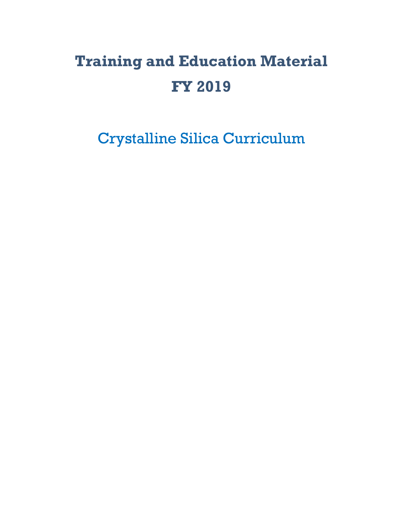# **Training and Education Material FY 2019**

Crystalline Silica Curriculum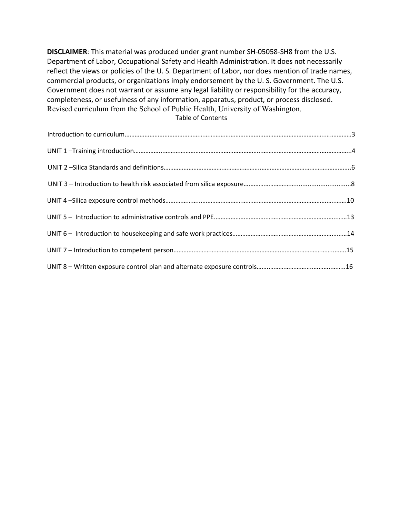**DISCLAIMER**: This material was produced under grant number SH-05058-SH8 from the U.S. Department of Labor, Occupational Safety and Health Administration. It does not necessarily reflect the views or policies of the U. S. Department of Labor, nor does mention of trade names, commercial products, or organizations imply endorsement by the U. S. Government. The U.S. Government does not warrant or assume any legal liability or responsibility for the accuracy, completeness, or usefulness of any information, apparatus, product, or process disclosed. Revised curriculum from the School of Public Health, University of Washington. Table of Contents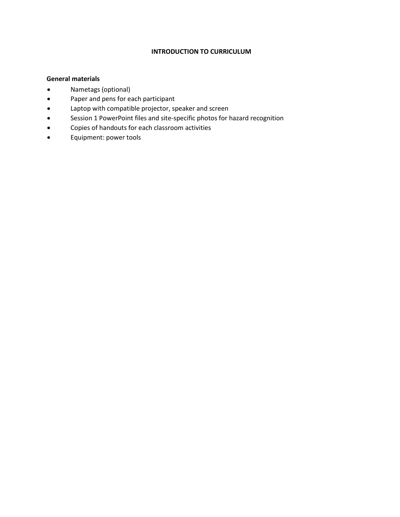#### **INTRODUCTION TO CURRICULUM**

#### **General materials**

- Nametags (optional)
- Paper and pens for each participant
- Laptop with compatible projector, speaker and screen
- Session 1 PowerPoint files and site-specific photos for hazard recognition
- Copies of handouts for each classroom activities
- Equipment: power tools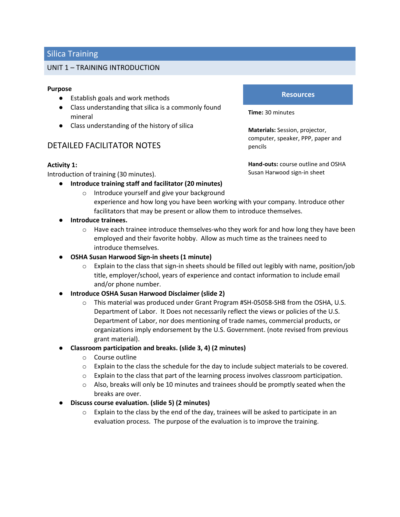#### UNIT 1 – TRAINING INTRODUCTION

#### **Purpose**

- Establish goals and work methods
- Class understanding that silica is a commonly found mineral
- Class understanding of the history of silica

# DETAILED FACILITATOR NOTES

#### **Activity 1:**

Introduction of training (30 minutes).

- **Introduce training staff and facilitator (20 minutes)**
	- o Introduce yourself and give your background

#### **Resources**

**Time:** 30 minutes

**Materials:** Session, projector, computer, speaker, PPP, paper and pencils

**Hand-outs:** course outline and OSHA Susan Harwood sign-in sheet

- experience and how long you have been working with your company. Introduce other facilitators that may be present or allow them to introduce themselves.
- **Introduce trainees.**
	- $\circ$  Have each trainee introduce themselves-who they work for and how long they have been employed and their favorite hobby. Allow as much time as the trainees need to introduce themselves.
- **OSHA Susan Harwood Sign-in sheets (1 minute)**
	- $\circ$  Explain to the class that sign-in sheets should be filled out legibly with name, position/job title, employer/school, years of experience and contact information to include email and/or phone number.
- **Introduce OSHA Susan Harwood Disclaimer (slide 2)**
	- o This material was produced under Grant Program #SH-05058-SH8 from the OSHA, U.S. Department of Labor. It Does not necessarily reflect the views or policies of the U.S. Department of Labor, nor does mentioning of trade names, commercial products, or organizations imply endorsement by the U.S. Government. (note revised from previous grant material).
- **Classroom participation and breaks. (slide 3, 4) (2 minutes)**
	- o Course outline
	- $\circ$  Explain to the class the schedule for the day to include subject materials to be covered.
	- $\circ$  Explain to the class that part of the learning process involves classroom participation.
	- $\circ$  Also, breaks will only be 10 minutes and trainees should be promptly seated when the breaks are over.
- **Discuss course evaluation. (slide 5) (2 minutes)**
	- $\circ$  Explain to the class by the end of the day, trainees will be asked to participate in an evaluation process. The purpose of the evaluation is to improve the training.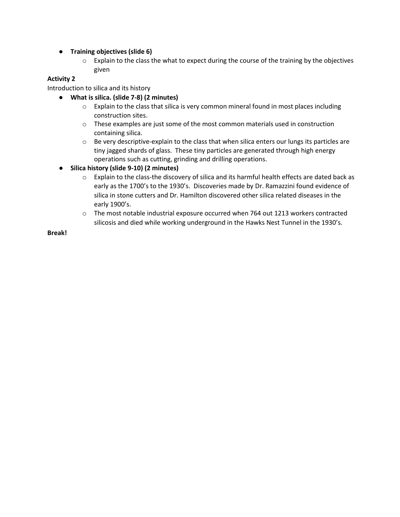- **Training objectives (slide 6)**
	- $\circ$  Explain to the class the what to expect during the course of the training by the objectives given

### **Activity 2**

Introduction to silica and its history

- **What is silica. (slide 7-8) (2 minutes)**
	- $\circ$  Explain to the class that silica is very common mineral found in most places including construction sites.
	- $\circ$  These examples are just some of the most common materials used in construction containing silica.
	- $\circ$  Be very descriptive-explain to the class that when silica enters our lungs its particles are tiny jagged shards of glass. These tiny particles are generated through high energy operations such as cutting, grinding and drilling operations.
- **Silica history (slide 9-10) (2 minutes)**
	- $\circ$  Explain to the class-the discovery of silica and its harmful health effects are dated back as early as the 1700's to the 1930's. Discoveries made by Dr. Ramazzini found evidence of silica in stone cutters and Dr. Hamilton discovered other silica related diseases in the early 1900's.
	- $\circ$  The most notable industrial exposure occurred when 764 out 1213 workers contracted silicosis and died while working underground in the Hawks Nest Tunnel in the 1930's.

**Break!**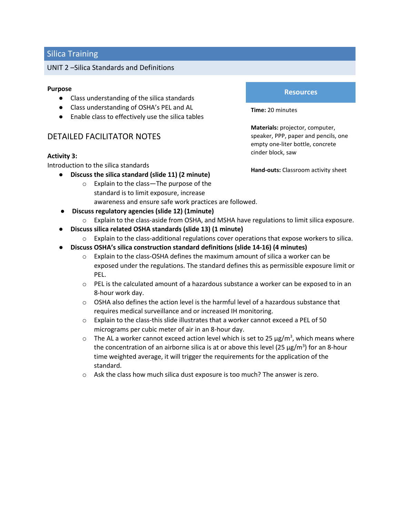#### UNIT 2 –Silica Standards and Definitions

#### **Purpose**

- Class understanding of the silica standards
- Class understanding of OSHA's PEL and AL
- Enable class to effectively use the silica tables

# DETAILED FACILITATOR NOTES

#### **Activity 3:**

Introduction to the silica standards

- **Discuss the silica standard (slide 11) (2 minute)**
	- o Explain to the class—The purpose of the standard is to limit exposure, increase awareness and ensure safe work practices are followed.
- **Discuss regulatory agencies (slide 12) (1minute)**
	- o Explain to the class-aside from OSHA, and MSHA have regulations to limit silica exposure.
- **Discuss silica related OSHA standards (slide 13) (1 minute)**
	- $\circ$  Explain to the class-additional regulations cover operations that expose workers to silica.
- **Discuss OSHA's silica construction standard definitions (slide 14-16) (4 minutes)**
	- $\circ$  Explain to the class-OSHA defines the maximum amount of silica a worker can be exposed under the regulations. The standard defines this as permissible exposure limit or PEL.
	- $\circ$  PEL is the calculated amount of a hazardous substance a worker can be exposed to in an 8-hour work day.
	- $\circ$  OSHA also defines the action level is the harmful level of a hazardous substance that requires medical surveillance and or increased IH monitoring.
	- $\circ$  Explain to the class-this slide illustrates that a worker cannot exceed a PEL of 50 micrograms per cubic meter of air in an 8-hour day.
	- $\circ$  The AL a worker cannot exceed action level which is set to 25  $\mu$ g/m<sup>3</sup>, which means where the concentration of an airborne silica is at or above this level (25  $\mu$ g/m<sup>3</sup>) for an 8-hour time weighted average, it will trigger the requirements for the application of the standard.
	- o Ask the class how much silica dust exposure is too much? The answer is zero.

#### **Resources**

**Time:** 20 minutes

**Materials:** projector, computer, speaker, PPP, paper and pencils, one empty one-liter bottle, concrete cinder block, saw

**Hand-outs:** Classroom activity sheet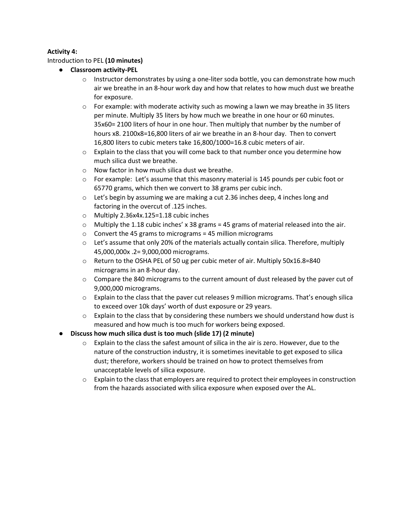#### **Activity 4:**

#### Introduction to PEL **(10 minutes)**

- **Classroom activity-PEL**
	- $\circ$  Instructor demonstrates by using a one-liter soda bottle, you can demonstrate how much air we breathe in an 8-hour work day and how that relates to how much dust we breathe for exposure.
	- $\circ$  For example: with moderate activity such as mowing a lawn we may breathe in 35 liters per minute. Multiply 35 liters by how much we breathe in one hour or 60 minutes. 35x60= 2100 liters of hour in one hour. Then multiply that number by the number of hours x8. 2100x8=16,800 liters of air we breathe in an 8-hour day. Then to convert 16,800 liters to cubic meters take 16,800/1000=16.8 cubic meters of air.
	- $\circ$  Explain to the class that you will come back to that number once you determine how much silica dust we breathe.
	- o Now factor in how much silica dust we breathe.
	- $\circ$  For example: Let's assume that this masonry material is 145 pounds per cubic foot or 65770 grams, which then we convert to 38 grams per cubic inch.
	- $\circ$  Let's begin by assuming we are making a cut 2.36 inches deep, 4 inches long and factoring in the overcut of .125 inches.
	- o Multiply 2.36x4x.125=1.18 cubic inches
	- $\circ$  Multiply the 1.18 cubic inches' x 38 grams = 45 grams of material released into the air.
	- $\circ$  Convert the 45 grams to micrograms = 45 million micrograms
	- $\circ$  Let's assume that only 20% of the materials actually contain silica. Therefore, multiply 45,000,000x .2= 9,000,000 micrograms.
	- o Return to the OSHA PEL of 50 ug per cubic meter of air. Multiply 50x16.8=840 micrograms in an 8-hour day.
	- $\circ$  Compare the 840 micrograms to the current amount of dust released by the paver cut of 9,000,000 micrograms.
	- $\circ$  Explain to the class that the paver cut releases 9 million micrograms. That's enough silica to exceed over 10k days' worth of dust exposure or 29 years.
	- $\circ$  Explain to the class that by considering these numbers we should understand how dust is measured and how much is too much for workers being exposed.
- **Discuss how much silica dust is too much (slide 17) (2 minute)**
	- $\circ$  Explain to the class the safest amount of silica in the air is zero. However, due to the nature of the construction industry, it is sometimes inevitable to get exposed to silica dust; therefore, workers should be trained on how to protect themselves from unacceptable levels of silica exposure.
	- o Explain to the class that employers are required to protect their employees in construction from the hazards associated with silica exposure when exposed over the AL.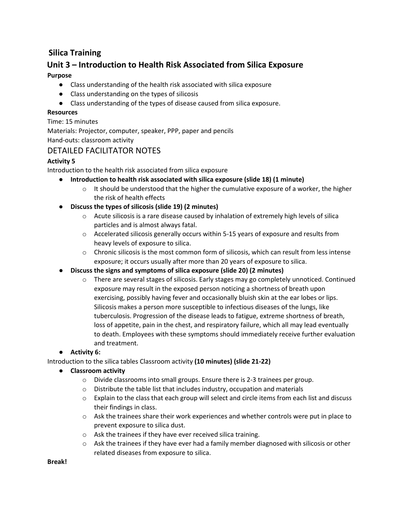# **Unit 3 – Introduction to Health Risk Associated from Silica Exposure**

# **Purpose**

- Class understanding of the health risk associated with silica exposure
- Class understanding on the types of silicosis
- Class understanding of the types of disease caused from silica exposure.

#### **Resources**

Time: 15 minutes

Materials: Projector, computer, speaker, PPP, paper and pencils Hand-outs: classroom activity

# DETAILED FACILITATOR NOTES

# **Activity 5**

Introduction to the health risk associated from silica exposure

- **Introduction to health risk associated with silica exposure (slide 18) (1 minute)**
	- $\circ$  It should be understood that the higher the cumulative exposure of a worker, the higher the risk of health effects
- **Discuss the types of silicosis (slide 19) (2 minutes)**
	- $\circ$  Acute silicosis is a rare disease caused by inhalation of extremely high levels of silica particles and is almost always fatal.
	- $\circ$  Accelerated silicosis generally occurs within 5-15 years of exposure and results from heavy levels of exposure to silica.
	- $\circ$  Chronic silicosis is the most common form of silicosis, which can result from less intense exposure; it occurs usually after more than 20 years of exposure to silica.
- **Discuss the signs and symptoms of silica exposure (slide 20) (2 minutes)**
	- o There are several stages of silicosis. Early stages may go completely unnoticed. Continued exposure may result in the exposed person noticing a shortness of breath upon exercising, possibly having fever and occasionally bluish skin at the ear lobes or lips. Silicosis makes a person more susceptible to infectious diseases of the lungs, like tuberculosis. Progression of the disease leads to fatigue, extreme shortness of breath, loss of appetite, pain in the chest, and respiratory failure, which all may lead eventually to death. Employees with these symptoms should immediately receive further evaluation and treatment.

### ● **Activity 6:**

Introduction to the silica tables Classroom activity **(10 minutes) (slide 21-22)**

- **Classroom activity** 
	- o Divide classrooms into small groups. Ensure there is 2-3 trainees per group.
	- $\circ$  Distribute the table list that includes industry, occupation and materials
	- o Explain to the class that each group will select and circle items from each list and discuss their findings in class.
	- $\circ$  Ask the trainees share their work experiences and whether controls were put in place to prevent exposure to silica dust.
	- o Ask the trainees if they have ever received silica training.
	- $\circ$  Ask the trainees if they have ever had a family member diagnosed with silicosis or other related diseases from exposure to silica.

**Break!**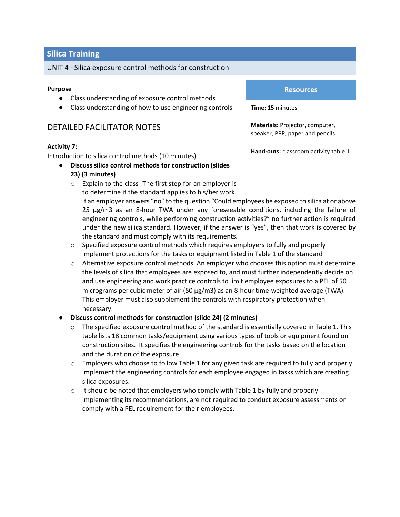UNIT 4 –Silica exposure control methods for construction

#### **Purpose**

- Class understanding of exposure control methods
- Class understanding of how to use engineering controls

# DETAILED FACILITATOR NOTES

#### **Activity 7:**

Introduction to silica control methods (10 minutes)

- **Discuss silica control methods for construction (slides 23) (3 minutes)**
	- o Explain to the class- The first step for an employer is to determine if the standard applies to his/her work.

**Resources**

**Time:** 15 minutes

**Materials:** Projector, computer, speaker, PPP, paper and pencils.

**Hand-outs:** classroom activity table 1

If an employer answers "no" to the question "Could employees be exposed to silica at or above 25 µg/m3 as an 8-hour TWA under any foreseeable conditions, including the failure of engineering controls, while performing construction activities?" no further action is required under the new silica standard. However, if the answer is "yes", then that work is covered by the standard and must comply with its requirements.

- $\circ$  Specified exposure control methods which requires employers to fully and properly implement protections for the tasks or equipment listed in Table 1 of the standard
- $\circ$  Alternative exposure control methods. An employer who chooses this option must determine the levels of silica that employees are exposed to, and must further independently decide on and use engineering and work practice controls to limit employee exposures to a PEL of 50 micrograms per cubic meter of air (50 μg/m3) as an 8-hour time-weighted average (TWA). This employer must also supplement the controls with respiratory protection when necessary.

#### ● **Discuss control methods for construction (slide 24) (2 minutes)**

- $\circ$  The specified exposure control method of the standard is essentially covered in Table 1. This table lists 18 common tasks/equipment using various types of tools or equipment found on construction sites. It specifies the engineering controls for the tasks based on the location and the duration of the exposure.
- $\circ$  Employers who choose to follow Table 1 for any given task are required to fully and properly implement the engineering controls for each employee engaged in tasks which are creating silica exposures.
- $\circ$  It should be noted that employers who comply with Table 1 by fully and properly implementing its recommendations, are not required to conduct exposure assessments or comply with a PEL requirement for their employees.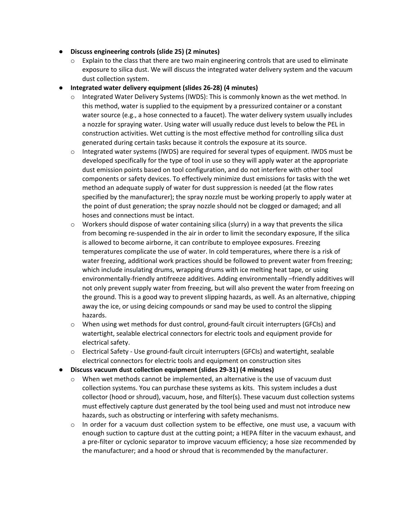- **Discuss engineering controls (slide 25) (2 minutes)**
	- $\circ$  Explain to the class that there are two main engineering controls that are used to eliminate exposure to silica dust. We will discuss the integrated water delivery system and the vacuum dust collection system.
- **Integrated water delivery equipment (slides 26-28) (4 minutes)**
	- $\circ$  Integrated Water Delivery Systems (IWDS): This is commonly known as the wet method. In this method, water is supplied to the equipment by a pressurized container or a constant water source (e.g., a hose connected to a faucet). The water delivery system usually includes a nozzle for spraying water. Using water will usually reduce dust levels to below the PEL in construction activities. Wet cutting is the most effective method for controlling silica dust generated during certain tasks because it controls the exposure at its source.
	- $\circ$  Integrated water systems (IWDS) are required for several types of equipment. IWDS must be developed specifically for the type of tool in use so they will apply water at the appropriate dust emission points based on tool configuration, and do not interfere with other tool components or safety devices. To effectively minimize dust emissions for tasks with the wet method an adequate supply of water for dust suppression is needed (at the flow rates specified by the manufacturer); the spray nozzle must be working properly to apply water at the point of dust generation; the spray nozzle should not be clogged or damaged; and all hoses and connections must be intact.
	- $\circ$  Workers should dispose of water containing silica (slurry) in a way that prevents the silica from becoming re-suspended in the air in order to limit the secondary exposure, If the silica is allowed to become airborne, it can contribute to employee exposures. Freezing temperatures complicate the use of water. In cold temperatures, where there is a risk of water freezing, additional work practices should be followed to prevent water from freezing; which include insulating drums, wrapping drums with ice melting heat tape, or using environmentally-friendly antifreeze additives. Adding environmentally –friendly additives will not only prevent supply water from freezing, but will also prevent the water from freezing on the ground. This is a good way to prevent slipping hazards, as well. As an alternative, chipping away the ice, or using deicing compounds or sand may be used to control the slipping hazards.
	- $\circ$  When using wet methods for dust control, ground-fault circuit interrupters (GFCIs) and watertight, sealable electrical connectors for electric tools and equipment provide for electrical safety.
	- o Electrical Safety Use ground-fault circuit interrupters (GFCIs) and watertight, sealable electrical connectors for electric tools and equipment on construction sites
- **Discuss vacuum dust collection equipment (slides 29-31) (4 minutes)**
	- $\circ$  When wet methods cannot be implemented, an alternative is the use of vacuum dust collection systems. You can purchase these systems as kits. This system includes a dust collector (hood or shroud), vacuum, hose, and filter(s). These vacuum dust collection systems must effectively capture dust generated by the tool being used and must not introduce new hazards, such as obstructing or interfering with safety mechanisms.
	- $\circ$  In order for a vacuum dust collection system to be effective, one must use, a vacuum with enough suction to capture dust at the cutting point; a HEPA filter in the vacuum exhaust, and a pre-filter or cyclonic separator to improve vacuum efficiency; a hose size recommended by the manufacturer; and a hood or shroud that is recommended by the manufacturer.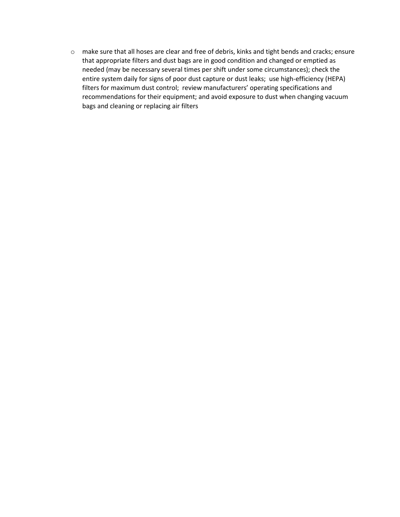o make sure that all hoses are clear and free of debris, kinks and tight bends and cracks; ensure that appropriate filters and dust bags are in good condition and changed or emptied as needed (may be necessary several times per shift under some circumstances); check the entire system daily for signs of poor dust capture or dust leaks; use high-efficiency (HEPA) filters for maximum dust control; review manufacturers' operating specifications and recommendations for their equipment; and avoid exposure to dust when changing vacuum bags and cleaning or replacing air filters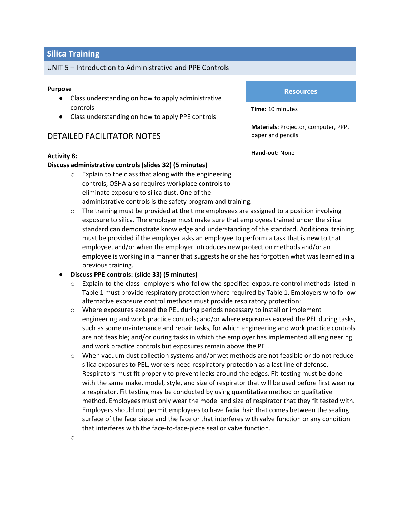#### UNIT 5 – Introduction to Administrative and PPE Controls

#### **Purpose**

- Class understanding on how to apply administrative controls
- Class understanding on how to apply PPE controls

# DETAILED FACILITATOR NOTES

#### **Activity 8:**

#### **Discuss administrative controls (slides 32) (5 minutes)**

- o Explain to the class that along with the engineering controls, OSHA also requires workplace controls to eliminate exposure to silica dust. One of the administrative controls is the safety program and training.
- $\circ$  The training must be provided at the time employees are assigned to a position involving exposure to silica. The employer must make sure that employees trained under the silica standard can demonstrate knowledge and understanding of the standard. Additional training must be provided if the employer asks an employee to perform a task that is new to that employee, and/or when the employer introduces new protection methods and/or an employee is working in a manner that suggests he or she has forgotten what was learned in a previous training.

#### ● **Discuss PPE controls: (slide 33) (5 minutes)**

- o Explain to the class- employers who follow the specified exposure control methods listed in Table 1 must provide respiratory protection where required by Table 1. Employers who follow alternative exposure control methods must provide respiratory protection:
- o Where exposures exceed the PEL during periods necessary to install or implement engineering and work practice controls; and/or where exposures exceed the PEL during tasks, such as some maintenance and repair tasks, for which engineering and work practice controls are not feasible; and/or during tasks in which the employer has implemented all engineering and work practice controls but exposures remain above the PEL.
- o When vacuum dust collection systems and/or wet methods are not feasible or do not reduce silica exposures to PEL, workers need respiratory protection as a last line of defense. Respirators must fit properly to prevent leaks around the edges. Fit-testing must be done with the same make, model, style, and size of respirator that will be used before first wearing a respirator. Fit testing may be conducted by using quantitative method or qualitative method. Employees must only wear the model and size of respirator that they fit tested with. Employers should not permit employees to have facial hair that comes between the sealing surface of the face piece and the face or that interferes with valve function or any condition that interferes with the face-to-face-piece seal or valve function.

# **Resources Resources**

**Time:** 10 minutes

**Materials:** Projector, computer, PPP, paper and pencils

**Hand-out:** None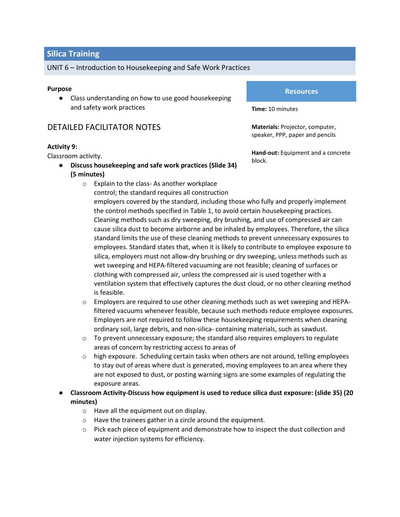#### UNIT 6 – Introduction to Housekeeping and Safe Work Practices

#### **Purpose**

● Class understanding on how to use good housekeeping and safety work practices

# DETAILED FACILITATOR NOTES

#### **Activity 9:**

Classroom activity.

- **Discuss housekeeping and safe work practices (Slide 34) (5 minutes)**
	- o Explain to the class- As another workplace control; the standard requires all construction

#### **Resources**

**Time:** 10 minutes

**Materials:** Projector, computer, speaker, PPP, paper and pencils

**Hand-out:** Equipment and a concrete block.

- employers covered by the standard, including those who fully and properly implement the control methods specified in Table 1, to avoid certain housekeeping practices. Cleaning methods such as dry sweeping, dry brushing, and use of compressed air can cause silica dust to become airborne and be inhaled by employees. Therefore, the silica standard limits the use of these cleaning methods to prevent unnecessary exposures to employees. Standard states that, when it is likely to contribute to employee exposure to silica, employers must not allow-dry brushing or dry sweeping, unless methods such as wet sweeping and HEPA-filtered vacuuming are not feasible; cleaning of surfaces or clothing with compressed air, unless the compressed air is used together with a ventilation system that effectively captures the dust cloud, or no other cleaning method is feasible.
- o Employers are required to use other cleaning methods such as wet sweeping and HEPAfiltered vacuums whenever feasible, because such methods reduce employee exposures. Employers are not required to follow these housekeeping requirements when cleaning ordinary soil, large debris, and non-silica- containing materials, such as sawdust.
- o To prevent unnecessary exposure; the standard also requires employers to regulate areas of concern by restricting access to areas of
- $\circ$  high exposure. Scheduling certain tasks when others are not around, telling employees to stay out of areas where dust is generated, moving employees to an area where they are not exposed to dust, or posting warning signs are some examples of regulating the exposure areas.
- **Classroom Activity-Discuss how equipment is used to reduce silica dust exposure: (slide 35) (20 minutes)**
	- o Have all the equipment out on display.
	- o Have the trainees gather in a circle around the equipment.
	- $\circ$  Pick each piece of equipment and demonstrate how to inspect the dust collection and water injection systems for efficiency.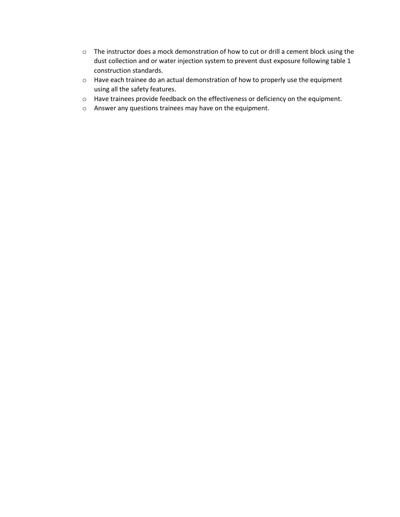- o The instructor does a mock demonstration of how to cut or drill a cement block using the dust collection and or water injection system to prevent dust exposure following table 1 construction standards.
- o Have each trainee do an actual demonstration of how to properly use the equipment using all the safety features.
- o Have trainees provide feedback on the effectiveness or deficiency on the equipment.
- o Answer any questions trainees may have on the equipment.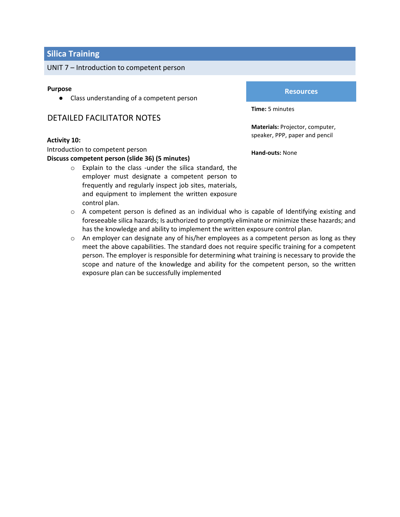#### UNIT 7 – Introduction to competent person

#### **Purpose**

● Class understanding of a competent person

# DETAILED FACILITATOR NOTES

#### **Activity 10:**

Introduction to competent person

#### **Discuss competent person (slide 36) (5 minutes)**

- o Explain to the class -under the silica standard, the employer must designate a competent person to frequently and regularly inspect job sites, materials, and equipment to implement the written exposure control plan.
- $\circ$  A competent person is defined as an individual who is capable of Identifying existing and foreseeable silica hazards; Is authorized to promptly eliminate or minimize these hazards; and has the knowledge and ability to implement the written exposure control plan.
- $\circ$  An employer can designate any of his/her employees as a competent person as long as they meet the above capabilities. The standard does not require specific training for a competent person. The employer is responsible for determining what training is necessary to provide the scope and nature of the knowledge and ability for the competent person, so the written exposure plan can be successfully implemented

#### **Resources**

**Time:** 5 minutes

**Materials:** Projector, computer, speaker, PPP, paper and pencil

**Hand-outs:** None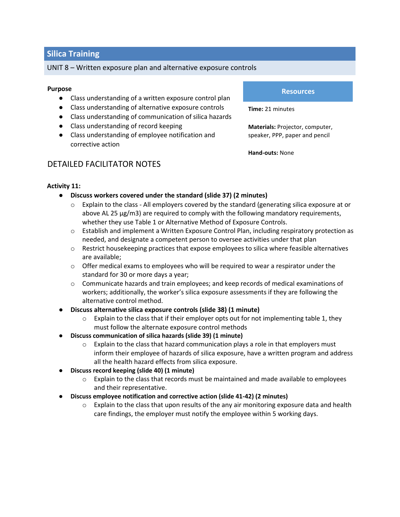#### UNIT 8 – Written exposure plan and alternative exposure controls

#### **Purpose**

- Class understanding of a written exposure control plan
- Class understanding of alternative exposure controls
- Class understanding of communication of silica hazards
- Class understanding of record keeping
- Class understanding of employee notification and corrective action

#### **Resources**

**Time:** 21 minutes

**Materials:** Projector, computer, speaker, PPP, paper and pencil

**Hand-outs:** None

# DETAILED FACILITATOR NOTES

## **Activity 11:**

- **Discuss workers covered under the standard (slide 37) (2 minutes)**
	- $\circ$  Explain to the class All employers covered by the standard (generating silica exposure at or above AL 25 μg/m3) are required to comply with the following mandatory requirements, whether they use Table 1 or Alternative Method of Exposure Controls.
	- $\circ$  Establish and implement a Written Exposure Control Plan, including respiratory protection as needed, and designate a competent person to oversee activities under that plan
	- $\circ$  Restrict housekeeping practices that expose employees to silica where feasible alternatives are available;
	- $\circ$  Offer medical exams to employees who will be required to wear a respirator under the standard for 30 or more days a year;
	- o Communicate hazards and train employees; and keep records of medical examinations of workers; additionally, the worker's silica exposure assessments if they are following the alternative control method.
- **Discuss alternative silica exposure controls (slide 38) (1 minute)**
	- $\circ$  Explain to the class that if their employer opts out for not implementing table 1, they must follow the alternate exposure control methods
- **Discuss communication of silica hazards (slide 39) (1 minute)**
	- $\circ$  Explain to the class that hazard communication plays a role in that employers must inform their employee of hazards of silica exposure, have a written program and address all the health hazard effects from silica exposure.
- **Discuss record keeping (slide 40) (1 minute)**
	- $\circ$  Explain to the class that records must be maintained and made available to employees and their representative.
- **Discuss employee notification and corrective action (slide 41-42) (2 minutes)**
	- $\circ$  Explain to the class that upon results of the any air monitoring exposure data and health care findings, the employer must notify the employee within 5 working days.